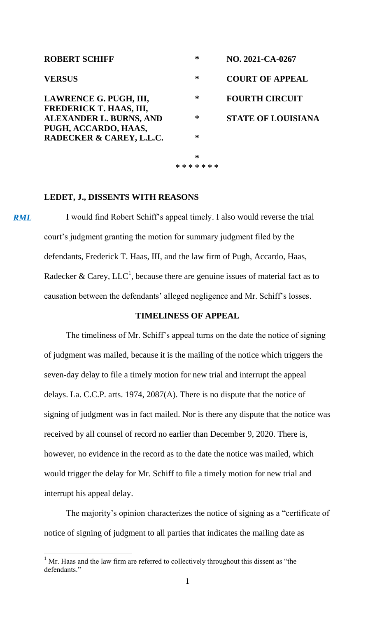| <b>ROBERT SCHIFF</b>                              | ∗             | NO. 2021-CA-0267          |
|---------------------------------------------------|---------------|---------------------------|
| <b>VERSUS</b>                                     | ∗             | <b>COURT OF APPEAL</b>    |
| LAWRENCE G. PUGH, III,<br>FREDERICK T. HAAS, III, | ∗             | <b>FOURTH CIRCUIT</b>     |
| ALEXANDER L. BURNS, AND<br>PUGH, ACCARDO, HAAS,   | ∗             | <b>STATE OF LOUISIANA</b> |
| RADECKER & CAREY, L.L.C.                          | *             |                           |
|                                                   | ∗             |                           |
|                                                   | * * * * * * * |                           |

#### **LEDET, J., DISSENTS WITH REASONS**

I would find Robert Schiff's appeal timely. I also would reverse the trial court's judgment granting the motion for summary judgment filed by the defendants, Frederick T. Haas, III, and the law firm of Pugh, Accardo, Haas, Radecker & Carey, LLC<sup>1</sup>, because there are genuine issues of material fact as to causation between the defendants' alleged negligence and Mr. Schiff's losses. *RML*

## **TIMELINESS OF APPEAL**

The timeliness of Mr. Schiff's appeal turns on the date the notice of signing of judgment was mailed, because it is the mailing of the notice which triggers the seven-day delay to file a timely motion for new trial and interrupt the appeal delays. La. C.C.P. arts. 1974, 2087(A). There is no dispute that the notice of signing of judgment was in fact mailed. Nor is there any dispute that the notice was received by all counsel of record no earlier than December 9, 2020. There is, however, no evidence in the record as to the date the notice was mailed, which would trigger the delay for Mr. Schiff to file a timely motion for new trial and interrupt his appeal delay.

The majority's opinion characterizes the notice of signing as a "certificate of notice of signing of judgment to all parties that indicates the mailing date as

l

 $1$  Mr. Haas and the law firm are referred to collectively throughout this dissent as "the defendants<sup>"</sup>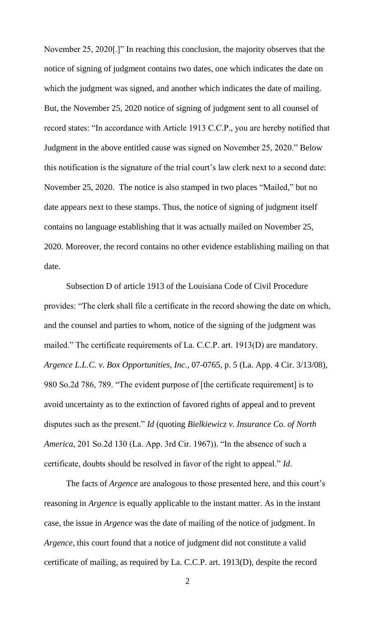November 25, 2020[.]" In reaching this conclusion, the majority observes that the notice of signing of judgment contains two dates, one which indicates the date on which the judgment was signed, and another which indicates the date of mailing. But, the November 25, 2020 notice of signing of judgment sent to all counsel of record states: "In accordance with Article 1913 C.C.P., you are hereby notified that Judgment in the above entitled cause was signed on November 25, 2020." Below this notification is the signature of the trial court's law clerk next to a second date: November 25, 2020. The notice is also stamped in two places "Mailed," but no date appears next to these stamps. Thus, the notice of signing of judgment itself contains no language establishing that it was actually mailed on November 25, 2020. Moreover, the record contains no other evidence establishing mailing on that date.

Subsection D of article 1913 of the Louisiana Code of Civil Procedure provides: "The clerk shall file a certificate in the record showing the date on which, and the counsel and parties to whom, notice of the signing of the judgment was mailed." The certificate requirements of La. C.C.P. art. 1913(D) are mandatory. *Argence L.L.C. v. Box Opportunities, Inc.*, 07-0765, p. 5 (La. App. 4 Cir. 3/13/08), 980 So.2d 786, 789. "The evident purpose of [the certificate requirement] is to avoid uncertainty as to the extinction of favored rights of appeal and to prevent disputes such as the present." *Id* (quoting *Bielkiewicz v. Insurance Co. of North America*, 201 So.2d 130 (La. App. 3rd Cir. 1967)). "In the absence of such a certificate, doubts should be resolved in favor of the right to appeal." *Id*.

The facts of *Argence* are analogous to those presented here, and this court's reasoning in *Argence* is equally applicable to the instant matter. As in the instant case, the issue in *Argence* was the date of mailing of the notice of judgment. In *Argence*, this court found that a notice of judgment did not constitute a valid certificate of mailing, as required by La. C.C.P. art. 1913(D), despite the record

2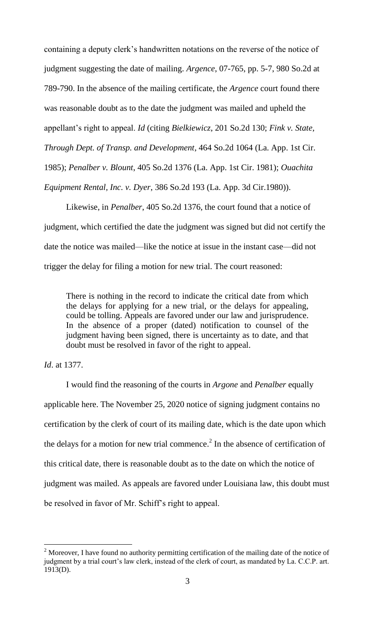containing a deputy clerk's handwritten notations on the reverse of the notice of judgment suggesting the date of mailing. *Argence*, 07-765, pp. 5-7, 980 So.2d at 789-790. In the absence of the mailing certificate, the *Argence* court found there was reasonable doubt as to the date the judgment was mailed and upheld the appellant's right to appeal. *Id* (citing *Bielkiewicz*, 201 So.2d 130; *Fink v. State, Through Dept. of Transp. and Development*, 464 So.2d 1064 (La. App. 1st Cir. 1985); *Penalber v. Blount*, 405 So.2d 1376 (La. App. 1st Cir. 1981); *Ouachita Equipment Rental, Inc. v. Dyer*, 386 So.2d 193 (La. App. 3d Cir.1980)).

Likewise, in *Penalber*, 405 So.2d 1376, the court found that a notice of judgment, which certified the date the judgment was signed but did not certify the date the notice was mailed—like the notice at issue in the instant case—did not trigger the delay for filing a motion for new trial. The court reasoned:

There is nothing in the record to indicate the critical date from which the delays for applying for a new trial, or the delays for appealing, could be tolling. Appeals are favored under our law and jurisprudence. In the absence of a proper (dated) notification to counsel of the judgment having been signed, there is uncertainty as to date, and that doubt must be resolved in favor of the right to appeal.

# *Id*. at 1377.

l

I would find the reasoning of the courts in *Argone* and *Penalber* equally applicable here. The November 25, 2020 notice of signing judgment contains no certification by the clerk of court of its mailing date, which is the date upon which the delays for a motion for new trial commence.<sup>2</sup> In the absence of certification of this critical date, there is reasonable doubt as to the date on which the notice of judgment was mailed. As appeals are favored under Louisiana law, this doubt must be resolved in favor of Mr. Schiff's right to appeal.

 $2$  Moreover, I have found no authority permitting certification of the mailing date of the notice of judgment by a trial court's law clerk, instead of the clerk of court, as mandated by La. C.C.P. art. 1913(D).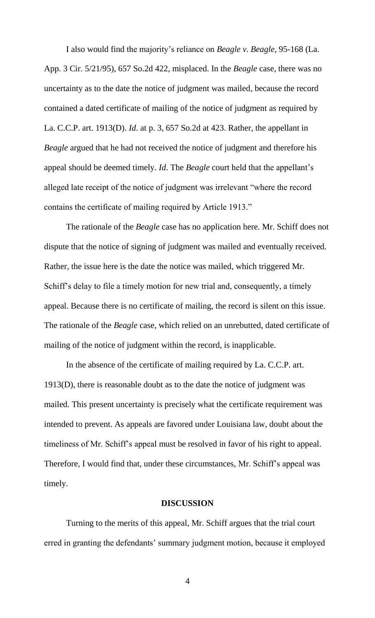I also would find the majority's reliance on *Beagle v. Beagle*, 95-168 (La. App. 3 Cir. 5/21/95), 657 So.2d 422, misplaced. In the *Beagle* case, there was no uncertainty as to the date the notice of judgment was mailed, because the record contained a dated certificate of mailing of the notice of judgment as required by La. C.C.P. art. 1913(D). *Id*. at p. 3, 657 So.2d at 423. Rather, the appellant in *Beagle* argued that he had not received the notice of judgment and therefore his appeal should be deemed timely. *Id*. The *Beagle* court held that the appellant's alleged late receipt of the notice of judgment was irrelevant "where the record contains the certificate of mailing required by Article 1913."

The rationale of the *Beagle* case has no application here. Mr. Schiff does not dispute that the notice of signing of judgment was mailed and eventually received. Rather, the issue here is the date the notice was mailed, which triggered Mr. Schiff's delay to file a timely motion for new trial and, consequently, a timely appeal. Because there is no certificate of mailing, the record is silent on this issue. The rationale of the *Beagle* case, which relied on an unrebutted, dated certificate of mailing of the notice of judgment within the record, is inapplicable.

In the absence of the certificate of mailing required by La. C.C.P. art. 1913(D), there is reasonable doubt as to the date the notice of judgment was mailed. This present uncertainty is precisely what the certificate requirement was intended to prevent. As appeals are favored under Louisiana law, doubt about the timeliness of Mr. Schiff's appeal must be resolved in favor of his right to appeal. Therefore, I would find that, under these circumstances, Mr. Schiff's appeal was timely.

## **DISCUSSION**

Turning to the merits of this appeal, Mr. Schiff argues that the trial court erred in granting the defendants' summary judgment motion, because it employed

4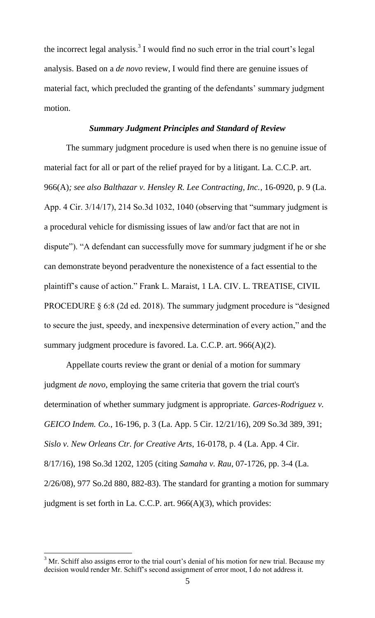the incorrect legal analysis.<sup>3</sup> I would find no such error in the trial court's legal analysis. Based on a *de novo* review, I would find there are genuine issues of material fact, which precluded the granting of the defendants' summary judgment motion.

#### *Summary Judgment Principles and Standard of Review*

The summary judgment procedure is used when there is no genuine issue of material fact for all or part of the relief prayed for by a litigant. La. C.C.P. art. 966(A)*; see also Balthazar v. Hensley R. Lee Contracting, Inc.*, 16-0920, p. 9 (La. App. 4 Cir. 3/14/17), 214 So.3d 1032, 1040 (observing that "summary judgment is a procedural vehicle for dismissing issues of law and/or fact that are not in dispute"). "A defendant can successfully move for summary judgment if he or she can demonstrate beyond peradventure the nonexistence of a fact essential to the plaintiff's cause of action." Frank L. Maraist, 1 LA. CIV. L. TREATISE, CIVIL PROCEDURE § 6:8 (2d ed. 2018). The summary judgment procedure is "designed to secure the just, speedy, and inexpensive determination of every action," and the summary judgment procedure is favored. La. C.C.P. art. 966(A)(2).

Appellate courts review the grant or denial of a motion for summary judgment *de novo*, employing the same criteria that govern the trial court's determination of whether summary judgment is appropriate. *Garces-Rodriguez v. GEICO Indem. Co.*, 16-196, p. 3 (La. App. 5 Cir. 12/21/16), 209 So.3d 389, 391; *Sislo v. New Orleans Ctr. for Creative Arts*, 16-0178, p. 4 (La. App. 4 Cir. 8/17/16), 198 So.3d 1202, 1205 (citing *Samaha v. Rau*, 07-1726, pp. 3-4 (La. 2/26/08), 977 So.2d 880, 882-83). The standard for granting a motion for summary judgment is set forth in La. C.C.P. art. 966(A)(3), which provides:

l

 $3$  Mr. Schiff also assigns error to the trial court's denial of his motion for new trial. Because my decision would render Mr. Schiff's second assignment of error moot, I do not address it.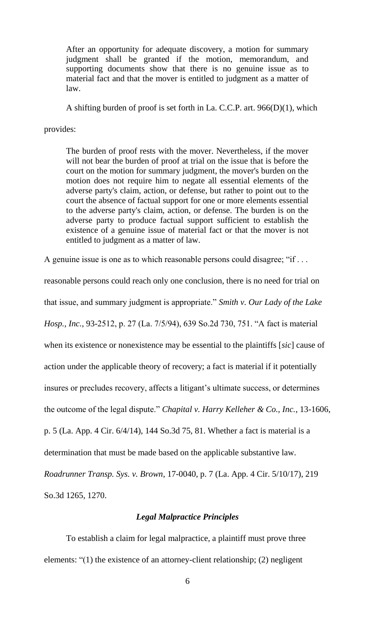After an opportunity for adequate discovery, a motion for summary judgment shall be granted if the motion, memorandum, and supporting documents show that there is no genuine issue as to material fact and that the mover is entitled to judgment as a matter of law.

A shifting burden of proof is set forth in La. C.C.P. art. 966(D)(1), which

provides:

The burden of proof rests with the mover. Nevertheless, if the mover will not bear the burden of proof at trial on the issue that is before the court on the motion for summary judgment, the mover's burden on the motion does not require him to negate all essential elements of the adverse party's claim, action, or defense, but rather to point out to the court the absence of factual support for one or more elements essential to the adverse party's claim, action, or defense. The burden is on the adverse party to produce factual support sufficient to establish the existence of a genuine issue of material fact or that the mover is not entitled to judgment as a matter of law.

A genuine issue is one as to which reasonable persons could disagree; "if . . .

reasonable persons could reach only one conclusion, there is no need for trial on

that issue, and summary judgment is appropriate." *Smith v. Our Lady of the Lake* 

*Hosp., Inc.*, 93-2512, p. 27 (La. 7/5/94), 639 So.2d 730, 751. "A fact is material

when its existence or nonexistence may be essential to the plaintiffs [*sic*] cause of

action under the applicable theory of recovery; a fact is material if it potentially

insures or precludes recovery, affects a litigant's ultimate success, or determines

the outcome of the legal dispute." *Chapital v. Harry Kelleher & Co., Inc.*, 13-1606,

p. 5 (La. App. 4 Cir. 6/4/14), 144 So.3d 75, 81. Whether a fact is material is a

determination that must be made based on the applicable substantive law.

*Roadrunner Transp. Sys. v. Brown*, 17-0040, p. 7 (La. App. 4 Cir. 5/10/17), 219 So.3d 1265, 1270.

# *Legal Malpractice Principles*

To establish a claim for legal malpractice, a plaintiff must prove three elements: "(1) the existence of an attorney-client relationship; (2) negligent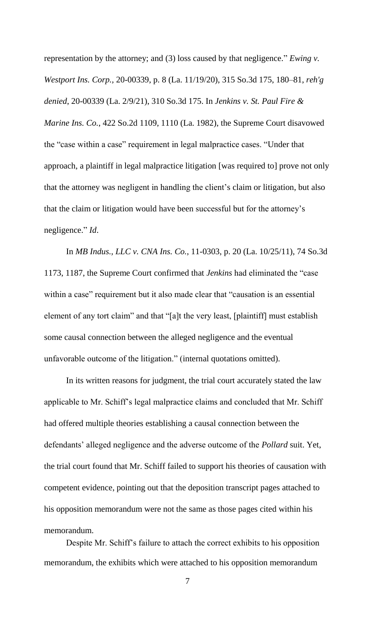representation by the attorney; and (3) loss caused by that negligence." *Ewing v. Westport Ins. Corp.,* 20-00339, p. 8 (La. 11/19/20), 315 So.3d 175, 180–81, *reh'g denied*, 20-00339 (La. 2/9/21), 310 So.3d 175. In *Jenkins v. St. Paul Fire & Marine Ins. Co.*, 422 So.2d 1109, 1110 (La. 1982), the Supreme Court disavowed the "case within a case" requirement in legal malpractice cases. "Under that approach, a plaintiff in legal malpractice litigation [was required to] prove not only that the attorney was negligent in handling the client's claim or litigation, but also that the claim or litigation would have been successful but for the attorney's negligence." *Id*.

In *MB Indus., LLC v. CNA Ins. Co.*, 11-0303, p. 20 (La. 10/25/11), 74 So.3d 1173, 1187, the Supreme Court confirmed that *Jenkins* had eliminated the "case within a case" requirement but it also made clear that "causation is an essential element of any tort claim" and that "[a]t the very least, [plaintiff] must establish some causal connection between the alleged negligence and the eventual unfavorable outcome of the litigation." (internal quotations omitted).

In its written reasons for judgment, the trial court accurately stated the law applicable to Mr. Schiff's legal malpractice claims and concluded that Mr. Schiff had offered multiple theories establishing a causal connection between the defendants' alleged negligence and the adverse outcome of the *Pollard* suit. Yet, the trial court found that Mr. Schiff failed to support his theories of causation with competent evidence, pointing out that the deposition transcript pages attached to his opposition memorandum were not the same as those pages cited within his memorandum.

Despite Mr. Schiff's failure to attach the correct exhibits to his opposition memorandum, the exhibits which were attached to his opposition memorandum

7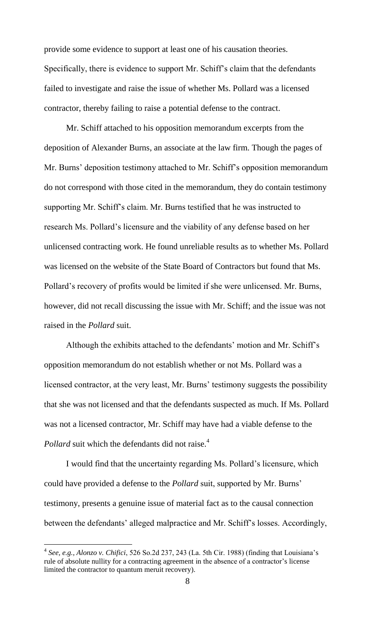provide some evidence to support at least one of his causation theories. Specifically, there is evidence to support Mr. Schiff's claim that the defendants failed to investigate and raise the issue of whether Ms. Pollard was a licensed contractor, thereby failing to raise a potential defense to the contract.

Mr. Schiff attached to his opposition memorandum excerpts from the deposition of Alexander Burns, an associate at the law firm. Though the pages of Mr. Burns' deposition testimony attached to Mr. Schiff's opposition memorandum do not correspond with those cited in the memorandum, they do contain testimony supporting Mr. Schiff's claim. Mr. Burns testified that he was instructed to research Ms. Pollard's licensure and the viability of any defense based on her unlicensed contracting work. He found unreliable results as to whether Ms. Pollard was licensed on the website of the State Board of Contractors but found that Ms. Pollard's recovery of profits would be limited if she were unlicensed. Mr. Burns, however, did not recall discussing the issue with Mr. Schiff; and the issue was not raised in the *Pollard* suit.

Although the exhibits attached to the defendants' motion and Mr. Schiff's opposition memorandum do not establish whether or not Ms. Pollard was a licensed contractor, at the very least, Mr. Burns' testimony suggests the possibility that she was not licensed and that the defendants suspected as much. If Ms. Pollard was not a licensed contractor, Mr. Schiff may have had a viable defense to the *Pollard* suit which the defendants did not raise.<sup>4</sup>

I would find that the uncertainty regarding Ms. Pollard's licensure, which could have provided a defense to the *Pollard* suit, supported by Mr. Burns' testimony, presents a genuine issue of material fact as to the causal connection between the defendants' alleged malpractice and Mr. Schiff's losses. Accordingly,

l

<sup>4</sup> *See, e.g., Alonzo v. Chifici*, 526 So.2d 237, 243 (La. 5th Cir. 1988) (finding that Louisiana's rule of absolute nullity for a contracting agreement in the absence of a contractor's license limited the contractor to quantum meruit recovery).